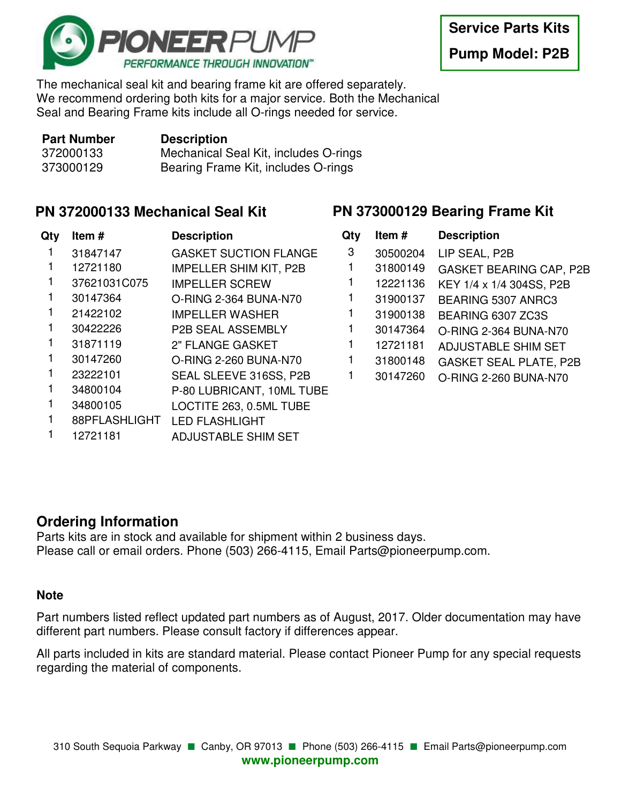

The mechanical seal kit and bearing frame kit are offered separately. We recommend ordering both kits for a major service. Both the Mechanical Seal and Bearing Frame kits include all O-rings needed for service.

| <b>Part Number</b> | <b>Description</b>                    |
|--------------------|---------------------------------------|
| 372000133          | Mechanical Seal Kit, includes O-rings |
| 373000129          | Bearing Frame Kit, includes O-rings   |

## **PN 372000133 Mechanical Seal Kit**

| Qty | Item#         | <b>Description</b>            |
|-----|---------------|-------------------------------|
| 1   | 31847147      | <b>GASKET SUCTION FLANGE</b>  |
|     | 12721180      | <b>IMPELLER SHIM KIT, P2B</b> |
| 1   | 37621031C075  | <b>IMPELLER SCREW</b>         |
| 1   | 30147364      | O-RING 2-364 BUNA-N70         |
| 1   | 21422102      | <b>IMPELLER WASHER</b>        |
| 1   | 30422226      | <b>P2B SEAL ASSEMBLY</b>      |
| 1   | 31871119      | 2" FLANGE GASKET              |
| 1   | 30147260      | O-RING 2-260 BUNA-N70         |
| 1   | 23222101      | SEAL SLEEVE 316SS, P2B        |
| 1   | 34800104      | P-80 LUBRICANT, 10ML TUBE     |
| 1   | 34800105      | LOCTITE 263, 0.5ML TUBE       |
| 1   | 88PFLASHLIGHT | <b>LED FLASHLIGHT</b>         |
|     | 12721181      | ADJUSTABLE SHIM SET           |

|           | PN 373000129 Bearing Frame Kit |
|-----------|--------------------------------|
| Qtv Item# | <b>Description</b>             |

| (LV | $\overline{\phantom{a}}$ | DESCRIPTION                    |
|-----|--------------------------|--------------------------------|
| 3   | 30500204                 | LIP SEAL, P2B                  |
| 1   | 31800149                 | <b>GASKET BEARING CAP, P2B</b> |
| 1   | 12221136                 | KEY 1/4 x 1/4 304SS, P2B       |
| 1   | 31900137                 | BEARING 5307 ANRC3             |
| 1   | 31900138                 | BEARING 6307 ZC3S              |
| 1   | 30147364                 | O-RING 2-364 BUNA-N70          |
| 1   | 12721181                 | <b>ADJUSTABLE SHIM SET</b>     |
| 1   | 31800148                 | <b>GASKET SEAL PLATE, P2B</b>  |
| 1   | 30147260                 | O-RING 2-260 BUNA-N70          |
|     |                          |                                |

## **Ordering Information**

Parts kits are in stock and available for shipment within 2 business days. Please call or email orders. Phone (503) 266-4115, Email Parts@pioneerpump.com.

## **Note**

Part numbers listed reflect updated part numbers as of August, 2017. Older documentation may have different part numbers. Please consult factory if differences appear.

All parts included in kits are standard material. Please contact Pioneer Pump for any special requests regarding the material of components.